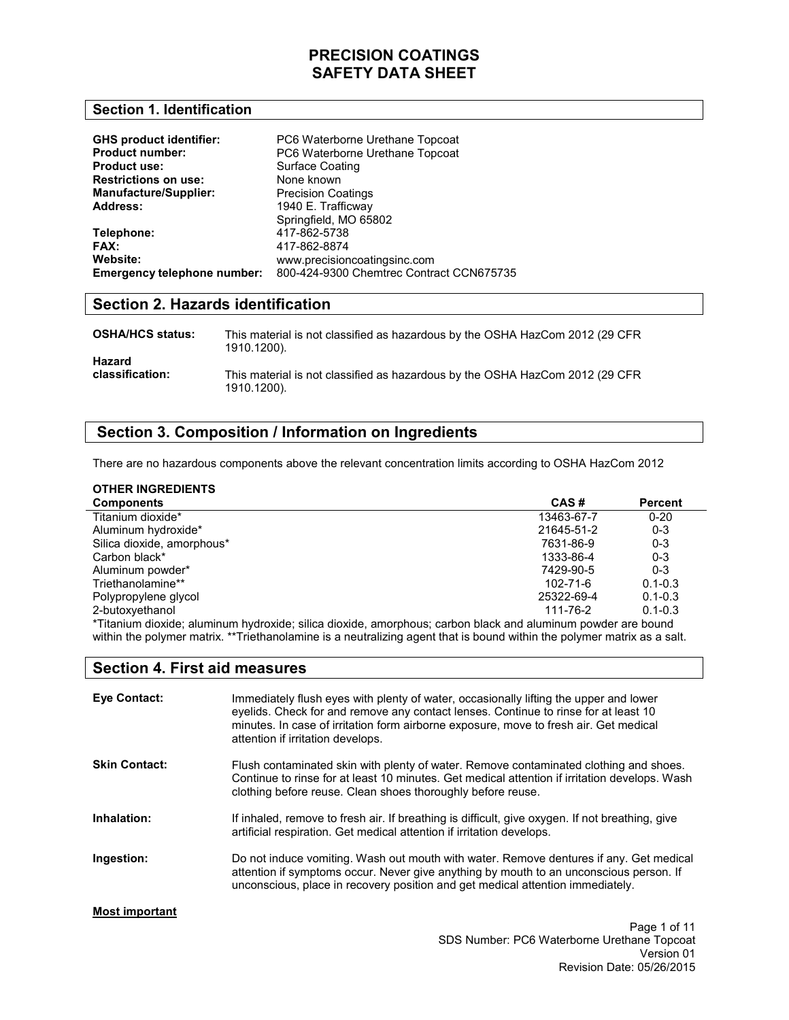#### **Section 1. Identification**

| <b>GHS product identifier:</b> | PC6 Waterborne Urethane Topcoat          |
|--------------------------------|------------------------------------------|
| <b>Product number:</b>         | PC6 Waterborne Urethane Topcoat          |
| <b>Product use:</b>            | Surface Coating                          |
| <b>Restrictions on use:</b>    | None known                               |
| <b>Manufacture/Supplier:</b>   | <b>Precision Coatings</b>                |
| <b>Address:</b>                | 1940 E. Trafficway                       |
|                                | Springfield, MO 65802                    |
| Telephone:                     | 417-862-5738                             |
| FAX:                           | 417-862-8874                             |
| Website:                       | www.precisioncoatingsinc.com             |
| Emergency telephone number:    | 800-424-9300 Chemtrec Contract CCN675735 |

## **Section 2. Hazards identification**

| <b>OSHA/HCS status:</b> | This material is not classified as hazardous by the OSHA HazCom 2012 (29 CFR<br>1910.1200). |
|-------------------------|---------------------------------------------------------------------------------------------|
| Hazard                  | This material is not classified as hazardous by the OSHA HazCom 2012 (29 CFR                |
| classification:         | 1910.1200).                                                                                 |

#### **Section 3. Composition / Information on Ingredients**

There are no hazardous components above the relevant concentration limits according to OSHA HazCom 2012

#### **OTHER INGREDIENTS**

| <b>Components</b>                                                                                          | CAS#           | <b>Percent</b> |
|------------------------------------------------------------------------------------------------------------|----------------|----------------|
| Titanium dioxide*                                                                                          | 13463-67-7     | $0 - 20$       |
| Aluminum hydroxide*                                                                                        | 21645-51-2     | $0 - 3$        |
| Silica dioxide, amorphous*                                                                                 | 7631-86-9      | $0 - 3$        |
| Carbon black*                                                                                              | 1333-86-4      | $0 - 3$        |
| Aluminum powder*                                                                                           | 7429-90-5      | $0 - 3$        |
| Triethanolamine**                                                                                          | $102 - 71 - 6$ | $0.1 - 0.3$    |
| Polypropylene glycol                                                                                       | 25322-69-4     | $0.1 - 0.3$    |
| 2-butoxyethanol                                                                                            | 111-76-2       | $0.1 - 0.3$    |
| turism discribe aluminum budravida: gilion discrida, amarabaya; sarban blask and oluminum paudar ara bayad |                |                |

\*Titanium dioxide; aluminum hydroxide; silica dioxide, amorphous; carbon black and aluminum powder are bound within the polymer matrix. \*\*Triethanolamine is a neutralizing agent that is bound within the polymer matrix as a salt.

#### **Section 4. First aid measures**

| <b>Eve Contact:</b>   | Immediately flush eyes with plenty of water, occasionally lifting the upper and lower<br>eyelids. Check for and remove any contact lenses. Continue to rinse for at least 10<br>minutes. In case of irritation form airborne exposure, move to fresh air. Get medical<br>attention if irritation develops. |
|-----------------------|------------------------------------------------------------------------------------------------------------------------------------------------------------------------------------------------------------------------------------------------------------------------------------------------------------|
| <b>Skin Contact:</b>  | Flush contaminated skin with plenty of water. Remove contaminated clothing and shoes.<br>Continue to rinse for at least 10 minutes. Get medical attention if irritation develops. Wash<br>clothing before reuse. Clean shoes thoroughly before reuse.                                                      |
| Inhalation:           | If inhaled, remove to fresh air. If breathing is difficult, give oxygen. If not breathing, give<br>artificial respiration. Get medical attention if irritation develops.                                                                                                                                   |
| Ingestion:            | Do not induce vomiting. Wash out mouth with water. Remove dentures if any. Get medical<br>attention if symptoms occur. Never give anything by mouth to an unconscious person. If<br>unconscious, place in recovery position and get medical attention immediately.                                         |
| <b>Most important</b> |                                                                                                                                                                                                                                                                                                            |
|                       | Page 1 of 11                                                                                                                                                                                                                                                                                               |

SDS Number: PC6 Waterborne Urethane Topcoat Version 01 Revision Date: 05/26/2015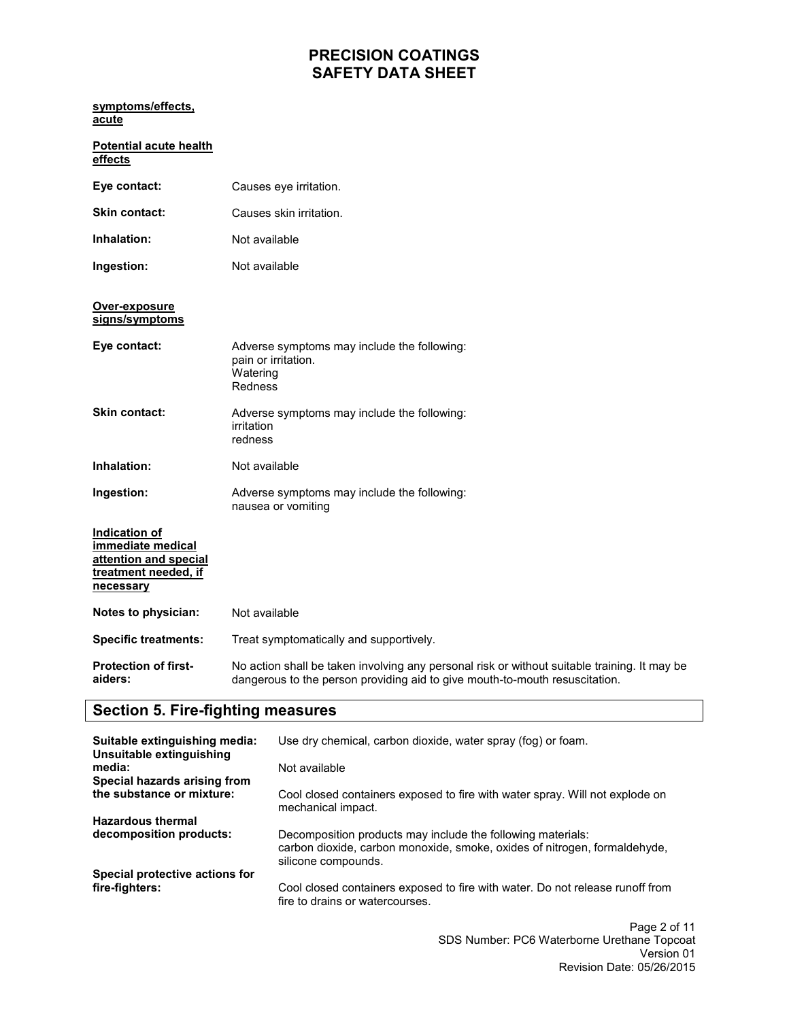| symptoms/effects,<br>acute                                                                       |                                                                                                                                                                             |
|--------------------------------------------------------------------------------------------------|-----------------------------------------------------------------------------------------------------------------------------------------------------------------------------|
| <b>Potential acute health</b><br>effects                                                         |                                                                                                                                                                             |
| Eye contact:                                                                                     | Causes eye irritation.                                                                                                                                                      |
| <b>Skin contact:</b>                                                                             | Causes skin irritation.                                                                                                                                                     |
| Inhalation:                                                                                      | Not available                                                                                                                                                               |
| Ingestion:                                                                                       | Not available                                                                                                                                                               |
| Over-exposure<br>signs/symptoms                                                                  |                                                                                                                                                                             |
| Eye contact:                                                                                     | Adverse symptoms may include the following:<br>pain or irritation.<br>Watering<br>Redness                                                                                   |
| <b>Skin contact:</b>                                                                             | Adverse symptoms may include the following:<br>irritation<br>redness                                                                                                        |
| Inhalation:                                                                                      | Not available                                                                                                                                                               |
| Ingestion:                                                                                       | Adverse symptoms may include the following:<br>nausea or vomiting                                                                                                           |
| Indication of<br>immediate medical<br>attention and special<br>treatment needed, if<br>necessary |                                                                                                                                                                             |
| Notes to physician:                                                                              | Not available                                                                                                                                                               |
| <b>Specific treatments:</b>                                                                      | Treat symptomatically and supportively.                                                                                                                                     |
| <b>Protection of first-</b><br>aiders:                                                           | No action shall be taken involving any personal risk or without suitable training. It may be<br>dangerous to the person providing aid to give mouth-to-mouth resuscitation. |

# **Section 5. Fire-fighting measures**

| Suitable extinguishing media:<br>Unsuitable extinguishing | Use dry chemical, carbon dioxide, water spray (fog) or foam.                                                                                                    |
|-----------------------------------------------------------|-----------------------------------------------------------------------------------------------------------------------------------------------------------------|
| media:<br>Special hazards arising from                    | Not available                                                                                                                                                   |
| the substance or mixture:                                 | Cool closed containers exposed to fire with water spray. Will not explode on<br>mechanical impact.                                                              |
| <b>Hazardous thermal</b>                                  |                                                                                                                                                                 |
| decomposition products:                                   | Decomposition products may include the following materials:<br>carbon dioxide, carbon monoxide, smoke, oxides of nitrogen, formaldehyde,<br>silicone compounds. |
| Special protective actions for                            |                                                                                                                                                                 |
| fire-fighters:                                            | Cool closed containers exposed to fire with water. Do not release runoff from<br>fire to drains or watercourses.                                                |
|                                                           |                                                                                                                                                                 |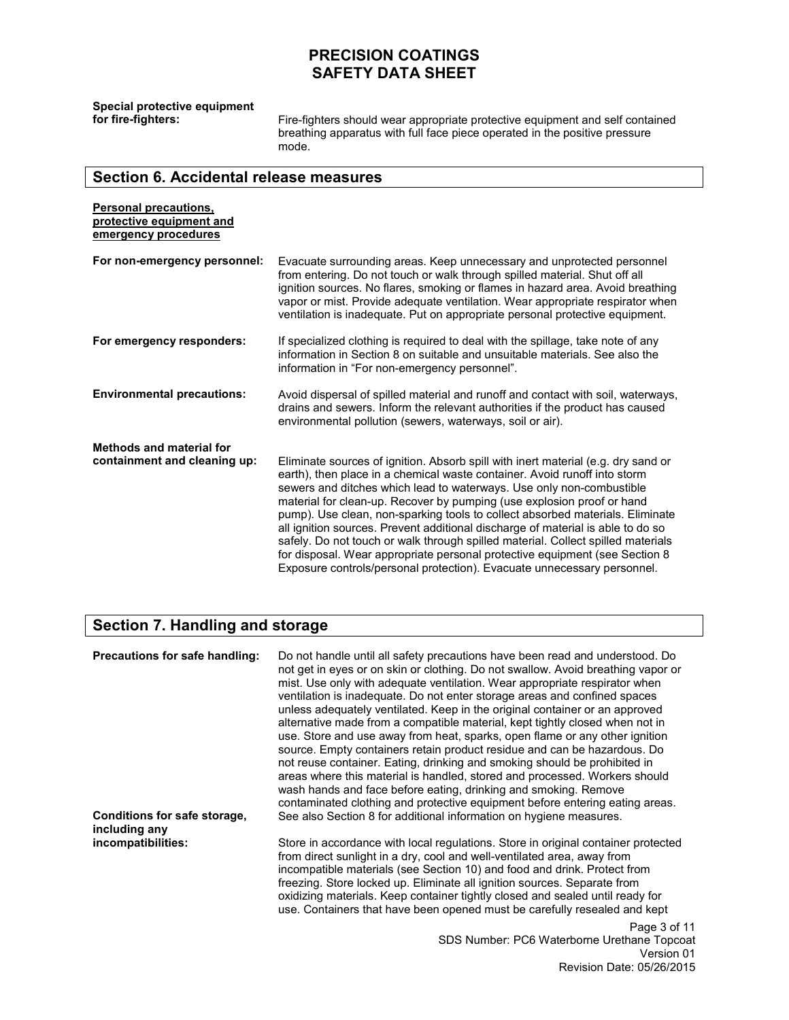**Special protective equipment** 

**for fire-fighters:** Fire-fighters should wear appropriate protective equipment and self contained breathing apparatus with full face piece operated in the positive pressure mode.

# **Section 6. Accidental release measures**

| <b>Personal precautions,</b><br>protective equipment and<br>emergency procedures |                                                                                                                                                                                                                                                                                                                                                                                                                                                                                                                                                                                                                                                                                                                                    |
|----------------------------------------------------------------------------------|------------------------------------------------------------------------------------------------------------------------------------------------------------------------------------------------------------------------------------------------------------------------------------------------------------------------------------------------------------------------------------------------------------------------------------------------------------------------------------------------------------------------------------------------------------------------------------------------------------------------------------------------------------------------------------------------------------------------------------|
| For non-emergency personnel:                                                     | Evacuate surrounding areas. Keep unnecessary and unprotected personnel<br>from entering. Do not touch or walk through spilled material. Shut off all<br>ignition sources. No flares, smoking or flames in hazard area. Avoid breathing<br>vapor or mist. Provide adequate ventilation. Wear appropriate respirator when<br>ventilation is inadequate. Put on appropriate personal protective equipment.                                                                                                                                                                                                                                                                                                                            |
| For emergency responders:                                                        | If specialized clothing is required to deal with the spillage, take note of any<br>information in Section 8 on suitable and unsuitable materials. See also the<br>information in "For non-emergency personnel".                                                                                                                                                                                                                                                                                                                                                                                                                                                                                                                    |
| <b>Environmental precautions:</b>                                                | Avoid dispersal of spilled material and runoff and contact with soil, waterways,<br>drains and sewers. Inform the relevant authorities if the product has caused<br>environmental pollution (sewers, waterways, soil or air).                                                                                                                                                                                                                                                                                                                                                                                                                                                                                                      |
| <b>Methods and material for</b><br>containment and cleaning up:                  | Eliminate sources of ignition. Absorb spill with inert material (e.g. dry sand or<br>earth), then place in a chemical waste container. Avoid runoff into storm<br>sewers and ditches which lead to waterways. Use only non-combustible<br>material for clean-up. Recover by pumping (use explosion proof or hand<br>pump). Use clean, non-sparking tools to collect absorbed materials. Eliminate<br>all ignition sources. Prevent additional discharge of material is able to do so<br>safely. Do not touch or walk through spilled material. Collect spilled materials<br>for disposal. Wear appropriate personal protective equipment (see Section 8<br>Exposure controls/personal protection). Evacuate unnecessary personnel. |

## **Section 7. Handling and storage**

| Precautions for safe handling:                                      | Do not handle until all safety precautions have been read and understood. Do<br>not get in eyes or on skin or clothing. Do not swallow. Avoid breathing vapor or<br>mist. Use only with adequate ventilation. Wear appropriate respirator when<br>ventilation is inadequate. Do not enter storage areas and confined spaces<br>unless adequately ventilated. Keep in the original container or an approved<br>alternative made from a compatible material, kept tightly closed when not in<br>use. Store and use away from heat, sparks, open flame or any other ignition<br>source. Empty containers retain product residue and can be hazardous. Do<br>not reuse container. Eating, drinking and smoking should be prohibited in<br>areas where this material is handled, stored and processed. Workers should<br>wash hands and face before eating, drinking and smoking. Remove<br>contaminated clothing and protective equipment before entering eating areas. |
|---------------------------------------------------------------------|---------------------------------------------------------------------------------------------------------------------------------------------------------------------------------------------------------------------------------------------------------------------------------------------------------------------------------------------------------------------------------------------------------------------------------------------------------------------------------------------------------------------------------------------------------------------------------------------------------------------------------------------------------------------------------------------------------------------------------------------------------------------------------------------------------------------------------------------------------------------------------------------------------------------------------------------------------------------|
| Conditions for safe storage,<br>including any<br>incompatibilities: | See also Section 8 for additional information on hygiene measures.<br>Store in accordance with local regulations. Store in original container protected<br>from direct sunlight in a dry, cool and well-ventilated area, away from<br>incompatible materials (see Section 10) and food and drink. Protect from<br>freezing. Store locked up. Eliminate all ignition sources. Separate from<br>oxidizing materials. Keep container tightly closed and sealed until ready for<br>use. Containers that have been opened must be carefully resealed and kept<br>Page 3 of 11                                                                                                                                                                                                                                                                                                                                                                                            |
|                                                                     | SDS Number: PC6 Waterborne Urethane Topcoat<br>Version 01<br>Revision Date: 05/26/2015                                                                                                                                                                                                                                                                                                                                                                                                                                                                                                                                                                                                                                                                                                                                                                                                                                                                              |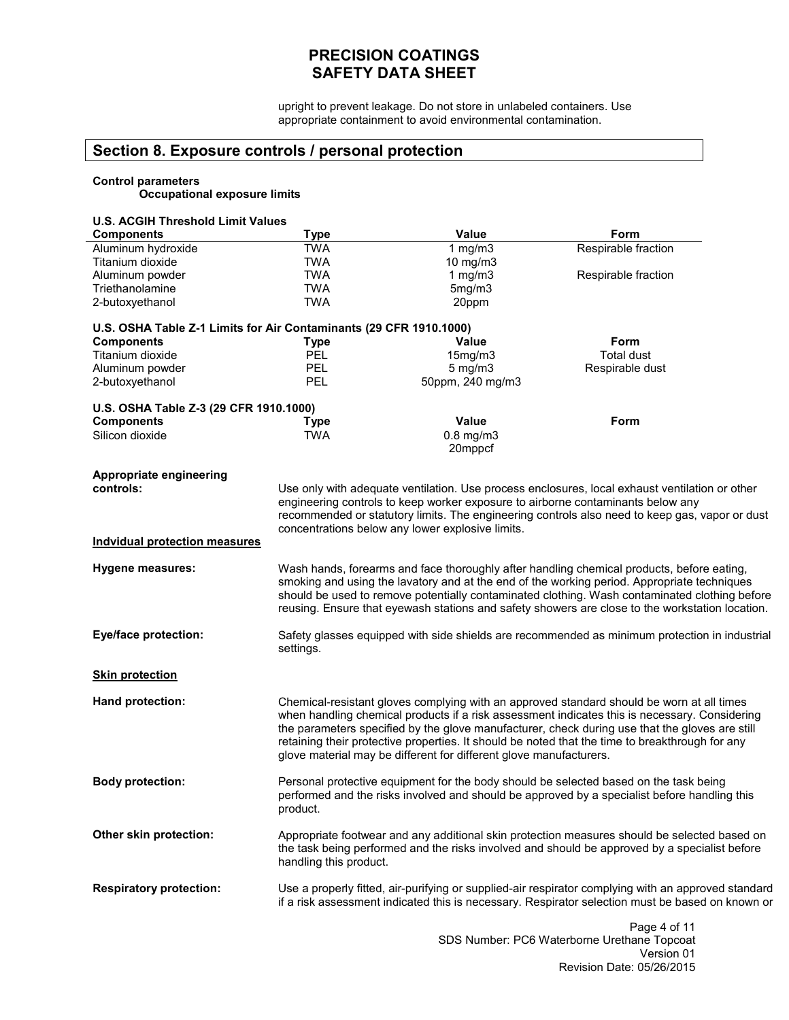upright to prevent leakage. Do not store in unlabeled containers. Use appropriate containment to avoid environmental contamination.

## **Section 8. Exposure controls / personal protection**

# **Control parameters Occupational exposure limits**

| <b>U.S. ACGIH Threshold Limit Values</b>                           |                                                  |                                                                    |                                                                                                                                                                                            |
|--------------------------------------------------------------------|--------------------------------------------------|--------------------------------------------------------------------|--------------------------------------------------------------------------------------------------------------------------------------------------------------------------------------------|
| <b>Components</b>                                                  | Type                                             | <b>Value</b>                                                       | Form                                                                                                                                                                                       |
| Aluminum hydroxide                                                 | <b>TWA</b>                                       | 1 $mg/m3$                                                          | Respirable fraction                                                                                                                                                                        |
| Titanium dioxide                                                   | <b>TWA</b>                                       | 10 mg/m3                                                           |                                                                                                                                                                                            |
| Aluminum powder                                                    | <b>TWA</b>                                       | 1 $mg/m3$                                                          | Respirable fraction                                                                                                                                                                        |
| Triethanolamine                                                    | <b>TWA</b>                                       | 5mg/m3                                                             |                                                                                                                                                                                            |
| 2-butoxyethanol                                                    | <b>TWA</b>                                       | 20ppm                                                              |                                                                                                                                                                                            |
|                                                                    |                                                  |                                                                    |                                                                                                                                                                                            |
| U.S. OSHA Table Z-1 Limits for Air Contaminants (29 CFR 1910.1000) |                                                  |                                                                    |                                                                                                                                                                                            |
| <b>Components</b>                                                  | <b>Type</b>                                      | Value                                                              | Form                                                                                                                                                                                       |
| Titanium dioxide                                                   | <b>PEL</b>                                       | 15mg/m3                                                            | <b>Total dust</b>                                                                                                                                                                          |
| Aluminum powder                                                    | PEL                                              | $5$ mg/m $3$                                                       | Respirable dust                                                                                                                                                                            |
| 2-butoxyethanol                                                    | PEL                                              | 50ppm, 240 mg/m3                                                   |                                                                                                                                                                                            |
|                                                                    |                                                  |                                                                    |                                                                                                                                                                                            |
| U.S. OSHA Table Z-3 (29 CFR 1910.1000)                             |                                                  |                                                                    |                                                                                                                                                                                            |
| <b>Components</b>                                                  | <b>Type</b>                                      | Value                                                              | Form                                                                                                                                                                                       |
| Silicon dioxide                                                    | <b>TWA</b>                                       | $0.8$ mg/m $3$                                                     |                                                                                                                                                                                            |
|                                                                    |                                                  | 20mppcf                                                            |                                                                                                                                                                                            |
|                                                                    |                                                  |                                                                    |                                                                                                                                                                                            |
| Appropriate engineering                                            |                                                  |                                                                    |                                                                                                                                                                                            |
| controls:                                                          |                                                  |                                                                    | Use only with adequate ventilation. Use process enclosures, local exhaust ventilation or other                                                                                             |
|                                                                    |                                                  |                                                                    | engineering controls to keep worker exposure to airborne contaminants below any                                                                                                            |
|                                                                    |                                                  |                                                                    | recommended or statutory limits. The engineering controls also need to keep gas, vapor or dust                                                                                             |
|                                                                    | concentrations below any lower explosive limits. |                                                                    |                                                                                                                                                                                            |
| <b>Indvidual protection measures</b>                               |                                                  |                                                                    |                                                                                                                                                                                            |
|                                                                    |                                                  |                                                                    |                                                                                                                                                                                            |
| <b>Hygene measures:</b>                                            |                                                  |                                                                    | Wash hands, forearms and face thoroughly after handling chemical products, before eating,                                                                                                  |
|                                                                    |                                                  |                                                                    | smoking and using the lavatory and at the end of the working period. Appropriate techniques                                                                                                |
|                                                                    |                                                  |                                                                    | should be used to remove potentially contaminated clothing. Wash contaminated clothing before                                                                                              |
|                                                                    |                                                  |                                                                    | reusing. Ensure that eyewash stations and safety showers are close to the workstation location.                                                                                            |
|                                                                    |                                                  |                                                                    |                                                                                                                                                                                            |
| <b>Eye/face protection:</b>                                        |                                                  |                                                                    | Safety glasses equipped with side shields are recommended as minimum protection in industrial                                                                                              |
|                                                                    | settings.                                        |                                                                    |                                                                                                                                                                                            |
|                                                                    |                                                  |                                                                    |                                                                                                                                                                                            |
| <b>Skin protection</b>                                             |                                                  |                                                                    |                                                                                                                                                                                            |
| <b>Hand protection:</b>                                            |                                                  |                                                                    |                                                                                                                                                                                            |
|                                                                    |                                                  |                                                                    | Chemical-resistant gloves complying with an approved standard should be worn at all times<br>when handling chemical products if a risk assessment indicates this is necessary. Considering |
|                                                                    |                                                  |                                                                    | the parameters specified by the glove manufacturer, check during use that the gloves are still                                                                                             |
|                                                                    |                                                  |                                                                    | retaining their protective properties. It should be noted that the time to breakthrough for any                                                                                            |
|                                                                    |                                                  |                                                                    |                                                                                                                                                                                            |
|                                                                    |                                                  | glove material may be different for different glove manufacturers. |                                                                                                                                                                                            |
| <b>Body protection:</b>                                            |                                                  |                                                                    | Personal protective equipment for the body should be selected based on the task being                                                                                                      |
|                                                                    |                                                  |                                                                    | performed and the risks involved and should be approved by a specialist before handling this                                                                                               |
|                                                                    | product.                                         |                                                                    |                                                                                                                                                                                            |
|                                                                    |                                                  |                                                                    |                                                                                                                                                                                            |
| Other skin protection:                                             |                                                  |                                                                    | Appropriate footwear and any additional skin protection measures should be selected based on                                                                                               |
|                                                                    |                                                  |                                                                    | the task being performed and the risks involved and should be approved by a specialist before                                                                                              |
|                                                                    | handling this product.                           |                                                                    |                                                                                                                                                                                            |
|                                                                    |                                                  |                                                                    |                                                                                                                                                                                            |
| <b>Respiratory protection:</b>                                     |                                                  |                                                                    | Use a properly fitted, air-purifying or supplied-air respirator complying with an approved standard                                                                                        |
|                                                                    |                                                  |                                                                    | if a risk assessment indicated this is necessary. Respirator selection must be based on known or                                                                                           |
|                                                                    |                                                  |                                                                    |                                                                                                                                                                                            |
|                                                                    |                                                  |                                                                    | Page 4 of 11                                                                                                                                                                               |
|                                                                    |                                                  |                                                                    | SDS Number: PC6 Waterborne Urethane Topcoat                                                                                                                                                |

Version 01 Revision Date: 05/26/2015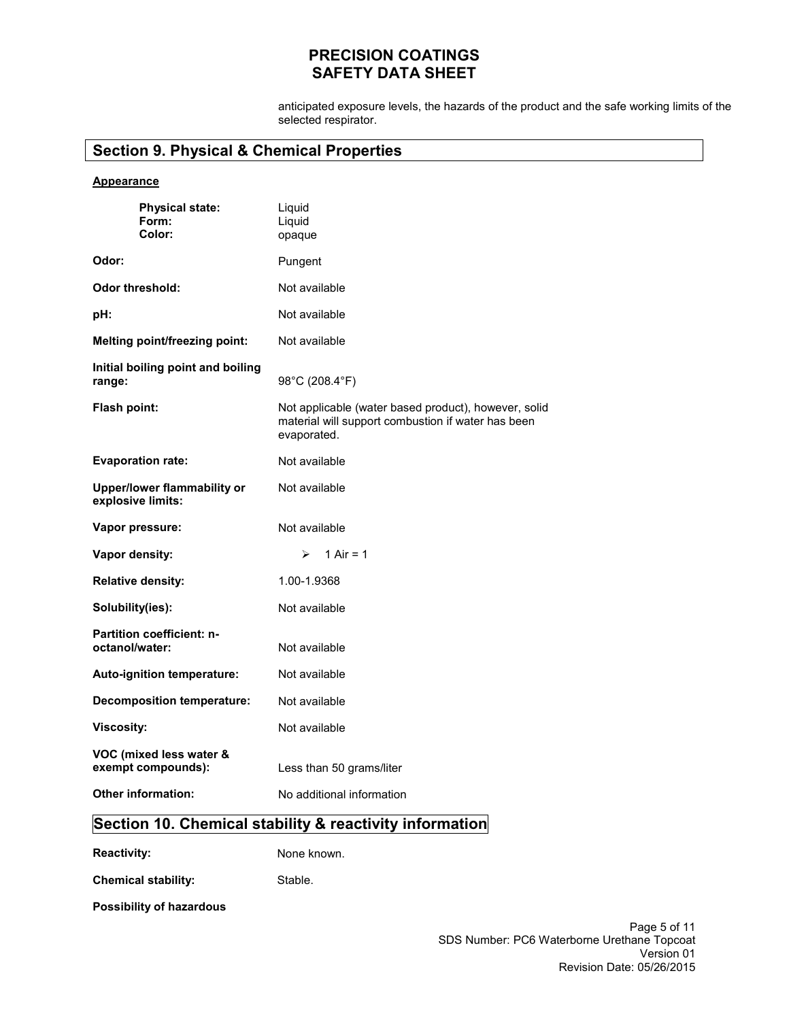anticipated exposure levels, the hazards of the product and the safe working limits of the selected respirator.

# **Section 9. Physical & Chemical Properties**

#### **Appearance**

| <b>Physical state:</b><br>Form:<br>Color:          | Liquid<br>Liquid<br>opaque                                                                                                |
|----------------------------------------------------|---------------------------------------------------------------------------------------------------------------------------|
| Odor:                                              | Pungent                                                                                                                   |
| Odor threshold:                                    | Not available                                                                                                             |
| pH:                                                | Not available                                                                                                             |
| <b>Melting point/freezing point:</b>               | Not available                                                                                                             |
| Initial boiling point and boiling<br>range:        | 98°C (208.4°F)                                                                                                            |
| <b>Flash point:</b>                                | Not applicable (water based product), however, solid<br>material will support combustion if water has been<br>evaporated. |
| <b>Evaporation rate:</b>                           | Not available                                                                                                             |
| Upper/lower flammability or<br>explosive limits:   | Not available                                                                                                             |
| Vapor pressure:                                    | Not available                                                                                                             |
| Vapor density:                                     | 1 Air = $1$<br>↘                                                                                                          |
| <b>Relative density:</b>                           | 1.00-1.9368                                                                                                               |
| Solubility(ies):                                   | Not available                                                                                                             |
| <b>Partition coefficient: n-</b><br>octanol/water: | Not available                                                                                                             |
| Auto-ignition temperature:                         | Not available                                                                                                             |
| <b>Decomposition temperature:</b>                  | Not available                                                                                                             |
| <b>Viscosity:</b>                                  | Not available                                                                                                             |
| VOC (mixed less water &<br>exempt compounds):      | Less than 50 grams/liter                                                                                                  |
| <b>Other information:</b>                          | No additional information                                                                                                 |

# **Section 10. Chemical stability & reactivity information**

**Reactivity:** None known.

**Chemical stability:**  Stable.

**Possibility of hazardous**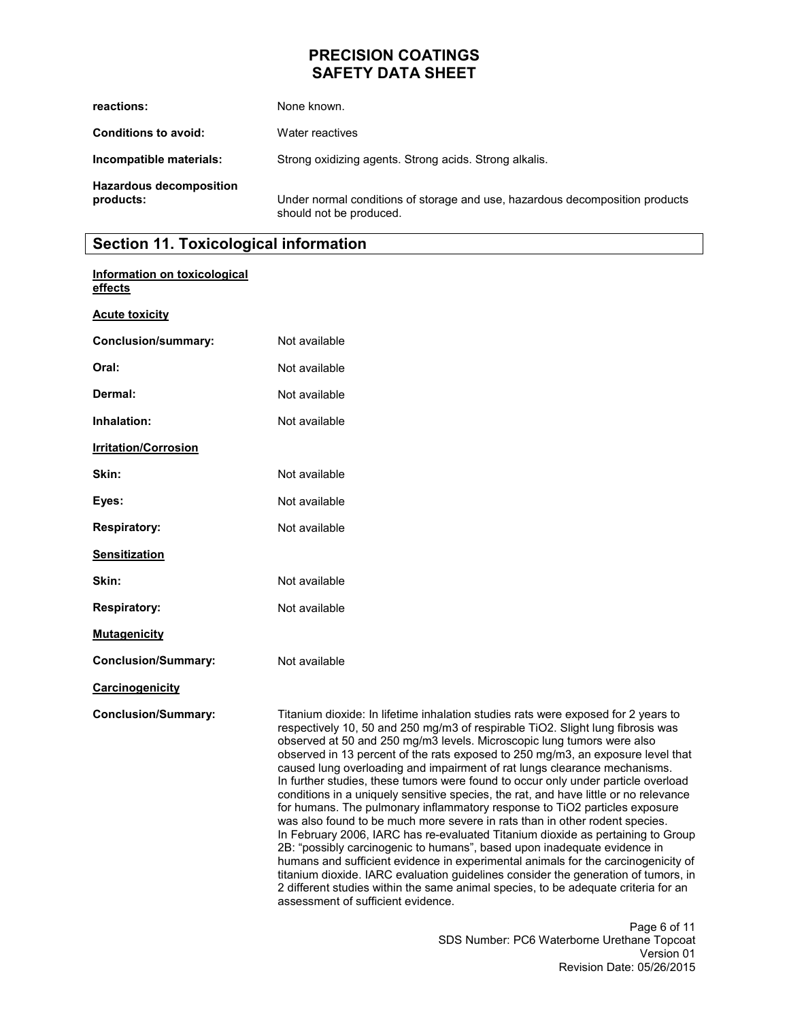| reactions:                                  | None known.                                                                                             |
|---------------------------------------------|---------------------------------------------------------------------------------------------------------|
| <b>Conditions to avoid:</b>                 | Water reactives                                                                                         |
| Incompatible materials:                     | Strong oxidizing agents. Strong acids. Strong alkalis.                                                  |
| <b>Hazardous decomposition</b><br>products: | Under normal conditions of storage and use, hazardous decomposition products<br>should not be produced. |

# **Section 11. Toxicological information**

| Information on toxicological<br>effects |                                                                                                                                                                                                                                                                                                                                                                                                                                                                                                                                                                                                                                                                                                                                                                                                                                                                                                                                                                                                                                                                                                                                                                                                                                               |
|-----------------------------------------|-----------------------------------------------------------------------------------------------------------------------------------------------------------------------------------------------------------------------------------------------------------------------------------------------------------------------------------------------------------------------------------------------------------------------------------------------------------------------------------------------------------------------------------------------------------------------------------------------------------------------------------------------------------------------------------------------------------------------------------------------------------------------------------------------------------------------------------------------------------------------------------------------------------------------------------------------------------------------------------------------------------------------------------------------------------------------------------------------------------------------------------------------------------------------------------------------------------------------------------------------|
| <b>Acute toxicity</b>                   |                                                                                                                                                                                                                                                                                                                                                                                                                                                                                                                                                                                                                                                                                                                                                                                                                                                                                                                                                                                                                                                                                                                                                                                                                                               |
| <b>Conclusion/summary:</b>              | Not available                                                                                                                                                                                                                                                                                                                                                                                                                                                                                                                                                                                                                                                                                                                                                                                                                                                                                                                                                                                                                                                                                                                                                                                                                                 |
| Oral:                                   | Not available                                                                                                                                                                                                                                                                                                                                                                                                                                                                                                                                                                                                                                                                                                                                                                                                                                                                                                                                                                                                                                                                                                                                                                                                                                 |
| Dermal:                                 | Not available                                                                                                                                                                                                                                                                                                                                                                                                                                                                                                                                                                                                                                                                                                                                                                                                                                                                                                                                                                                                                                                                                                                                                                                                                                 |
| Inhalation:                             | Not available                                                                                                                                                                                                                                                                                                                                                                                                                                                                                                                                                                                                                                                                                                                                                                                                                                                                                                                                                                                                                                                                                                                                                                                                                                 |
| <b>Irritation/Corrosion</b>             |                                                                                                                                                                                                                                                                                                                                                                                                                                                                                                                                                                                                                                                                                                                                                                                                                                                                                                                                                                                                                                                                                                                                                                                                                                               |
| Skin:                                   | Not available                                                                                                                                                                                                                                                                                                                                                                                                                                                                                                                                                                                                                                                                                                                                                                                                                                                                                                                                                                                                                                                                                                                                                                                                                                 |
| Eyes:                                   | Not available                                                                                                                                                                                                                                                                                                                                                                                                                                                                                                                                                                                                                                                                                                                                                                                                                                                                                                                                                                                                                                                                                                                                                                                                                                 |
| <b>Respiratory:</b>                     | Not available                                                                                                                                                                                                                                                                                                                                                                                                                                                                                                                                                                                                                                                                                                                                                                                                                                                                                                                                                                                                                                                                                                                                                                                                                                 |
| <b>Sensitization</b>                    |                                                                                                                                                                                                                                                                                                                                                                                                                                                                                                                                                                                                                                                                                                                                                                                                                                                                                                                                                                                                                                                                                                                                                                                                                                               |
| Skin:                                   | Not available                                                                                                                                                                                                                                                                                                                                                                                                                                                                                                                                                                                                                                                                                                                                                                                                                                                                                                                                                                                                                                                                                                                                                                                                                                 |
| <b>Respiratory:</b>                     | Not available                                                                                                                                                                                                                                                                                                                                                                                                                                                                                                                                                                                                                                                                                                                                                                                                                                                                                                                                                                                                                                                                                                                                                                                                                                 |
| <b>Mutagenicity</b>                     |                                                                                                                                                                                                                                                                                                                                                                                                                                                                                                                                                                                                                                                                                                                                                                                                                                                                                                                                                                                                                                                                                                                                                                                                                                               |
| <b>Conclusion/Summary:</b>              | Not available                                                                                                                                                                                                                                                                                                                                                                                                                                                                                                                                                                                                                                                                                                                                                                                                                                                                                                                                                                                                                                                                                                                                                                                                                                 |
| Carcinogenicity                         |                                                                                                                                                                                                                                                                                                                                                                                                                                                                                                                                                                                                                                                                                                                                                                                                                                                                                                                                                                                                                                                                                                                                                                                                                                               |
| <b>Conclusion/Summary:</b>              | Titanium dioxide: In lifetime inhalation studies rats were exposed for 2 years to<br>respectively 10, 50 and 250 mg/m3 of respirable TiO2. Slight lung fibrosis was<br>observed at 50 and 250 mg/m3 levels. Microscopic lung tumors were also<br>observed in 13 percent of the rats exposed to 250 mg/m3, an exposure level that<br>caused lung overloading and impairment of rat lungs clearance mechanisms.<br>In further studies, these tumors were found to occur only under particle overload<br>conditions in a uniquely sensitive species, the rat, and have little or no relevance<br>for humans. The pulmonary inflammatory response to TiO2 particles exposure<br>was also found to be much more severe in rats than in other rodent species.<br>In February 2006, IARC has re-evaluated Titanium dioxide as pertaining to Group<br>2B: "possibly carcinogenic to humans", based upon inadequate evidence in<br>humans and sufficient evidence in experimental animals for the carcinogenicity of<br>titanium dioxide. IARC evaluation guidelines consider the generation of tumors, in<br>2 different studies within the same animal species, to be adequate criteria for an<br>assessment of sufficient evidence.<br>Page 6 of 11 |
|                                         | SDS Number: PC6 Waterborne Urethane Topcoat                                                                                                                                                                                                                                                                                                                                                                                                                                                                                                                                                                                                                                                                                                                                                                                                                                                                                                                                                                                                                                                                                                                                                                                                   |

of 11 pcoat Version 01 Revision Date: 05/26/2015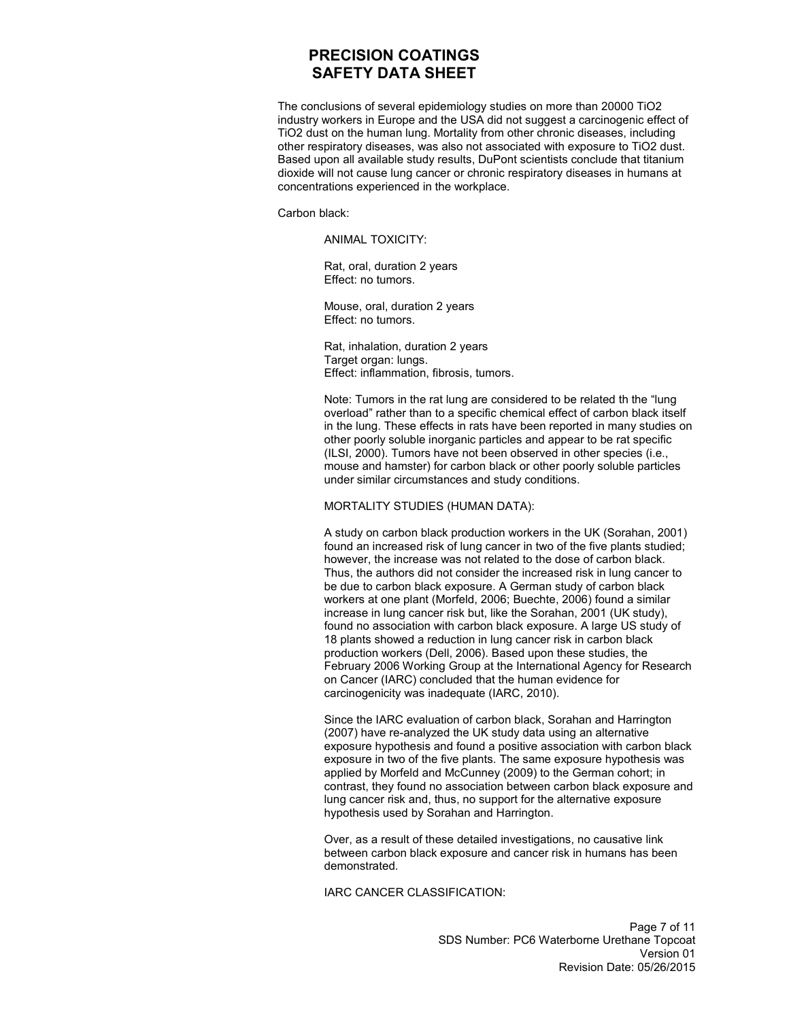The conclusions of several epidemiology studies on more than 20000 TiO2 industry workers in Europe and the USA did not suggest a carcinogenic effect of TiO2 dust on the human lung. Mortality from other chronic diseases, including other respiratory diseases, was also not associated with exposure to TiO2 dust. Based upon all available study results, DuPont scientists conclude that titanium dioxide will not cause lung cancer or chronic respiratory diseases in humans at concentrations experienced in the workplace.

Carbon black:

ANIMAL TOXICITY:

Rat, oral, duration 2 years Effect: no tumors.

Mouse, oral, duration 2 years Effect: no tumors.

Rat, inhalation, duration 2 years Target organ: lungs. Effect: inflammation, fibrosis, tumors.

Note: Tumors in the rat lung are considered to be related th the "lung overload" rather than to a specific chemical effect of carbon black itself in the lung. These effects in rats have been reported in many studies on other poorly soluble inorganic particles and appear to be rat specific (ILSI, 2000). Tumors have not been observed in other species (i.e., mouse and hamster) for carbon black or other poorly soluble particles under similar circumstances and study conditions.

MORTALITY STUDIES (HUMAN DATA):

A study on carbon black production workers in the UK (Sorahan, 2001) found an increased risk of lung cancer in two of the five plants studied; however, the increase was not related to the dose of carbon black. Thus, the authors did not consider the increased risk in lung cancer to be due to carbon black exposure. A German study of carbon black workers at one plant (Morfeld, 2006; Buechte, 2006) found a similar increase in lung cancer risk but, like the Sorahan, 2001 (UK study), found no association with carbon black exposure. A large US study of 18 plants showed a reduction in lung cancer risk in carbon black production workers (Dell, 2006). Based upon these studies, the February 2006 Working Group at the International Agency for Research on Cancer (IARC) concluded that the human evidence for carcinogenicity was inadequate (IARC, 2010).

Since the IARC evaluation of carbon black, Sorahan and Harrington (2007) have re-analyzed the UK study data using an alternative exposure hypothesis and found a positive association with carbon black exposure in two of the five plants. The same exposure hypothesis was applied by Morfeld and McCunney (2009) to the German cohort; in contrast, they found no association between carbon black exposure and lung cancer risk and, thus, no support for the alternative exposure hypothesis used by Sorahan and Harrington.

Over, as a result of these detailed investigations, no causative link between carbon black exposure and cancer risk in humans has been demonstrated.

IARC CANCER CLASSIFICATION: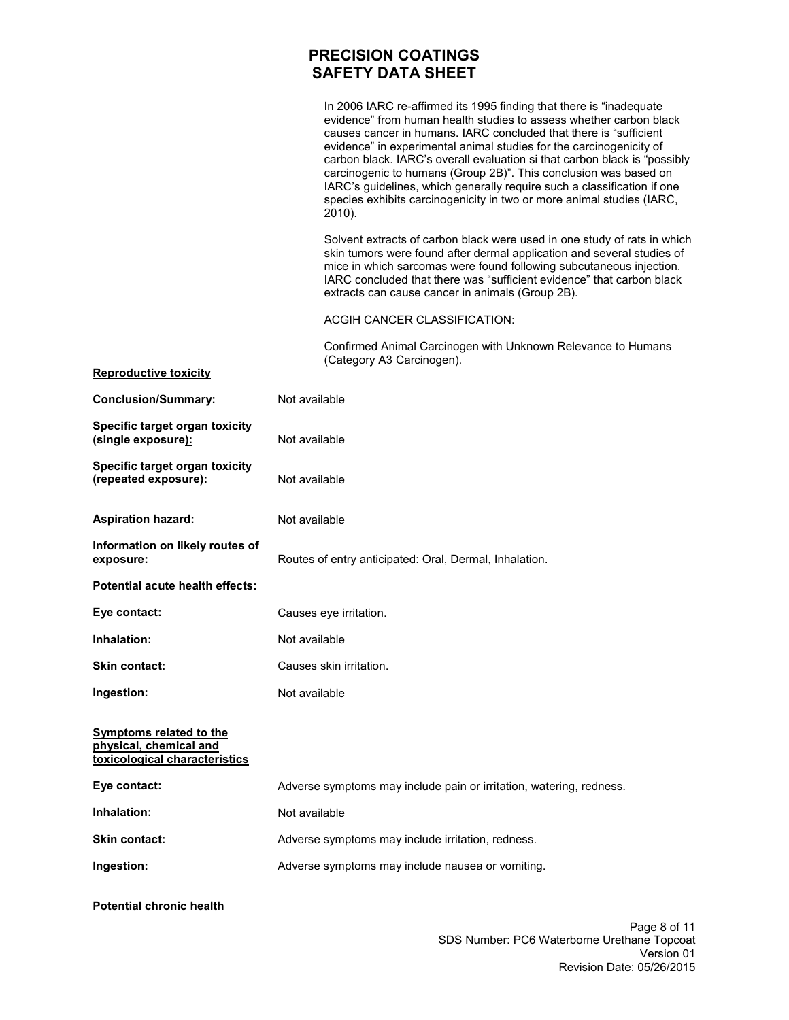|                                                                                           | In 2006 IARC re-affirmed its 1995 finding that there is "inadequate"<br>evidence" from human health studies to assess whether carbon black<br>causes cancer in humans. IARC concluded that there is "sufficient<br>evidence" in experimental animal studies for the carcinogenicity of<br>carbon black. IARC's overall evaluation si that carbon black is "possibly<br>carcinogenic to humans (Group 2B)". This conclusion was based on<br>IARC's guidelines, which generally require such a classification if one<br>species exhibits carcinogenicity in two or more animal studies (IARC,<br>2010). |  |
|-------------------------------------------------------------------------------------------|-------------------------------------------------------------------------------------------------------------------------------------------------------------------------------------------------------------------------------------------------------------------------------------------------------------------------------------------------------------------------------------------------------------------------------------------------------------------------------------------------------------------------------------------------------------------------------------------------------|--|
|                                                                                           | Solvent extracts of carbon black were used in one study of rats in which<br>skin tumors were found after dermal application and several studies of<br>mice in which sarcomas were found following subcutaneous injection.<br>IARC concluded that there was "sufficient evidence" that carbon black<br>extracts can cause cancer in animals (Group 2B).                                                                                                                                                                                                                                                |  |
|                                                                                           | <b>ACGIH CANCER CLASSIFICATION:</b>                                                                                                                                                                                                                                                                                                                                                                                                                                                                                                                                                                   |  |
|                                                                                           | Confirmed Animal Carcinogen with Unknown Relevance to Humans<br>(Category A3 Carcinogen).                                                                                                                                                                                                                                                                                                                                                                                                                                                                                                             |  |
| <b>Reproductive toxicity</b>                                                              |                                                                                                                                                                                                                                                                                                                                                                                                                                                                                                                                                                                                       |  |
| <b>Conclusion/Summary:</b>                                                                | Not available                                                                                                                                                                                                                                                                                                                                                                                                                                                                                                                                                                                         |  |
| Specific target organ toxicity<br>(single exposure):                                      | Not available                                                                                                                                                                                                                                                                                                                                                                                                                                                                                                                                                                                         |  |
| Specific target organ toxicity<br>(repeated exposure):                                    | Not available                                                                                                                                                                                                                                                                                                                                                                                                                                                                                                                                                                                         |  |
| <b>Aspiration hazard:</b>                                                                 | Not available                                                                                                                                                                                                                                                                                                                                                                                                                                                                                                                                                                                         |  |
| Information on likely routes of<br>exposure:                                              | Routes of entry anticipated: Oral, Dermal, Inhalation.                                                                                                                                                                                                                                                                                                                                                                                                                                                                                                                                                |  |
| Potential acute health effects:                                                           |                                                                                                                                                                                                                                                                                                                                                                                                                                                                                                                                                                                                       |  |
| Eye contact:                                                                              | Causes eye irritation.                                                                                                                                                                                                                                                                                                                                                                                                                                                                                                                                                                                |  |
| Inhalation:                                                                               | Not available                                                                                                                                                                                                                                                                                                                                                                                                                                                                                                                                                                                         |  |
| <b>Skin contact:</b>                                                                      | Causes skin irritation.                                                                                                                                                                                                                                                                                                                                                                                                                                                                                                                                                                               |  |
| Ingestion:                                                                                | Not available                                                                                                                                                                                                                                                                                                                                                                                                                                                                                                                                                                                         |  |
| <b>Symptoms related to the</b><br>physical, chemical and<br>toxicological characteristics |                                                                                                                                                                                                                                                                                                                                                                                                                                                                                                                                                                                                       |  |
| Eye contact:                                                                              | Adverse symptoms may include pain or irritation, watering, redness.                                                                                                                                                                                                                                                                                                                                                                                                                                                                                                                                   |  |
| Inhalation:                                                                               | Not available                                                                                                                                                                                                                                                                                                                                                                                                                                                                                                                                                                                         |  |
| <b>Skin contact:</b>                                                                      | Adverse symptoms may include irritation, redness.                                                                                                                                                                                                                                                                                                                                                                                                                                                                                                                                                     |  |
|                                                                                           | Adverse symptoms may include nausea or vomiting.                                                                                                                                                                                                                                                                                                                                                                                                                                                                                                                                                      |  |
| Ingestion:                                                                                |                                                                                                                                                                                                                                                                                                                                                                                                                                                                                                                                                                                                       |  |

**Potential chronic health**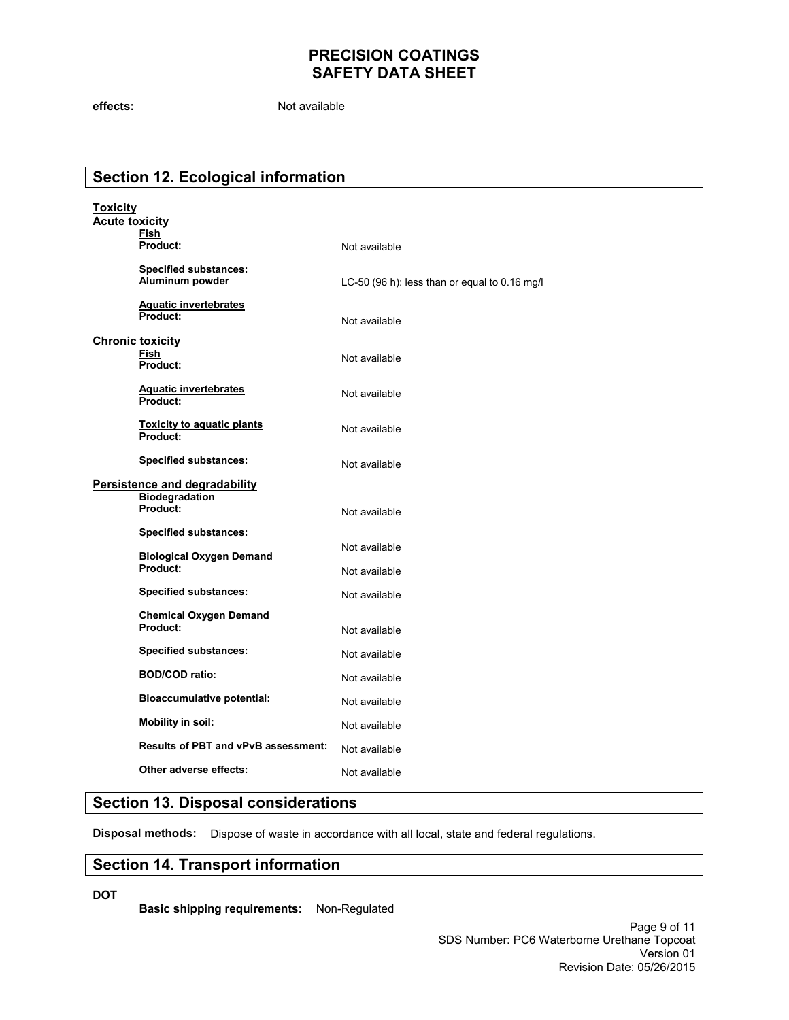**effects:** Not available

# **Section 12. Ecological information**

| <b>Toxicity</b><br><b>Acute toxicity</b>               |                                                 |                                               |  |  |
|--------------------------------------------------------|-------------------------------------------------|-----------------------------------------------|--|--|
|                                                        | Fish<br>Product:                                | Not available                                 |  |  |
|                                                        | <b>Specified substances:</b><br>Aluminum powder | LC-50 (96 h): less than or equal to 0.16 mg/l |  |  |
|                                                        | <b>Aquatic invertebrates</b><br>Product:        | Not available                                 |  |  |
| <b>Chronic toxicity</b><br>Fish<br>Product:            |                                                 | Not available                                 |  |  |
|                                                        | <b>Aquatic invertebrates</b><br>Product:        | Not available                                 |  |  |
|                                                        | <b>Toxicity to aquatic plants</b><br>Product:   | Not available                                 |  |  |
|                                                        | <b>Specified substances:</b>                    | Not available                                 |  |  |
| Persistence and degradability<br><b>Biodegradation</b> |                                                 |                                               |  |  |
|                                                        | Product:                                        | Not available                                 |  |  |
|                                                        | <b>Specified substances:</b>                    | Not available                                 |  |  |
|                                                        | <b>Biological Oxygen Demand</b><br>Product:     |                                               |  |  |
|                                                        |                                                 | Not available                                 |  |  |
|                                                        | <b>Specified substances:</b>                    | Not available                                 |  |  |
|                                                        | <b>Chemical Oxygen Demand</b><br>Product:       | Not available                                 |  |  |
|                                                        | <b>Specified substances:</b>                    | Not available                                 |  |  |
|                                                        | <b>BOD/COD ratio:</b>                           | Not available                                 |  |  |
|                                                        | <b>Bioaccumulative potential:</b>               | Not available                                 |  |  |
| <b>Mobility in soil:</b>                               |                                                 | Not available                                 |  |  |
|                                                        | <b>Results of PBT and vPvB assessment:</b>      |                                               |  |  |
|                                                        |                                                 | Not available                                 |  |  |
|                                                        | Other adverse effects:                          | Not available                                 |  |  |

# **Section 13. Disposal considerations**

**Disposal methods:** Dispose of waste in accordance with all local, state and federal regulations.

#### **Section 14. Transport information**

**DOT** 

**Basic shipping requirements:** Non-Regulated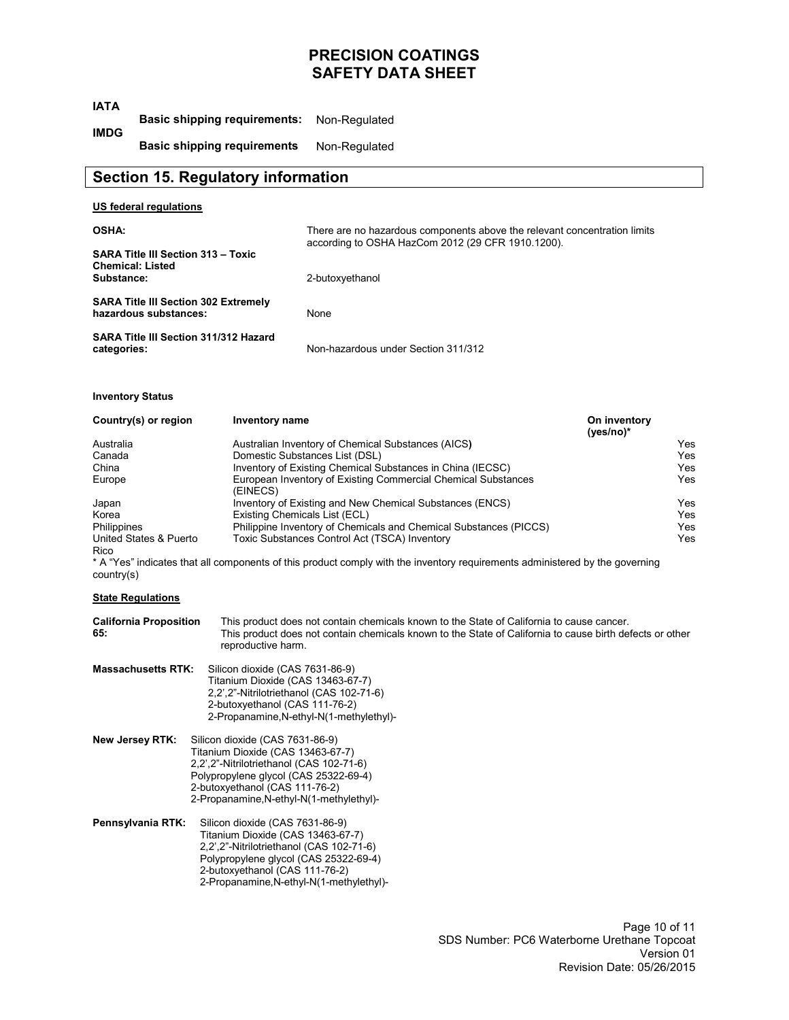| <b>IATA</b>                                                                                          |                                                                      |                                                                                                                                                                                                                             |                                                                                                                                                                                                                                                                                                                                                                                                                                                                                                                                       |                                              |
|------------------------------------------------------------------------------------------------------|----------------------------------------------------------------------|-----------------------------------------------------------------------------------------------------------------------------------------------------------------------------------------------------------------------------|---------------------------------------------------------------------------------------------------------------------------------------------------------------------------------------------------------------------------------------------------------------------------------------------------------------------------------------------------------------------------------------------------------------------------------------------------------------------------------------------------------------------------------------|----------------------------------------------|
| <b>IMDG</b>                                                                                          |                                                                      | <b>Basic shipping requirements:</b>                                                                                                                                                                                         | Non-Regulated                                                                                                                                                                                                                                                                                                                                                                                                                                                                                                                         |                                              |
|                                                                                                      |                                                                      | <b>Basic shipping requirements</b>                                                                                                                                                                                          | Non-Regulated                                                                                                                                                                                                                                                                                                                                                                                                                                                                                                                         |                                              |
|                                                                                                      |                                                                      | <b>Section 15. Regulatory information</b>                                                                                                                                                                                   |                                                                                                                                                                                                                                                                                                                                                                                                                                                                                                                                       |                                              |
|                                                                                                      | <b>US federal regulations</b>                                        |                                                                                                                                                                                                                             |                                                                                                                                                                                                                                                                                                                                                                                                                                                                                                                                       |                                              |
| <b>OSHA:</b>                                                                                         |                                                                      |                                                                                                                                                                                                                             | There are no hazardous components above the relevant concentration limits                                                                                                                                                                                                                                                                                                                                                                                                                                                             |                                              |
| <b>SARA Title III Section 313 - Toxic</b><br><b>Chemical: Listed</b><br>Substance:                   |                                                                      |                                                                                                                                                                                                                             | according to OSHA HazCom 2012 (29 CFR 1910.1200).                                                                                                                                                                                                                                                                                                                                                                                                                                                                                     |                                              |
|                                                                                                      |                                                                      |                                                                                                                                                                                                                             | 2-butoxyethanol                                                                                                                                                                                                                                                                                                                                                                                                                                                                                                                       |                                              |
|                                                                                                      | <b>SARA Title III Section 302 Extremely</b><br>hazardous substances: |                                                                                                                                                                                                                             | None                                                                                                                                                                                                                                                                                                                                                                                                                                                                                                                                  |                                              |
| categories:                                                                                          | <b>SARA Title III Section 311/312 Hazard</b>                         |                                                                                                                                                                                                                             | Non-hazardous under Section 311/312                                                                                                                                                                                                                                                                                                                                                                                                                                                                                                   |                                              |
| <b>Inventory Status</b>                                                                              |                                                                      |                                                                                                                                                                                                                             |                                                                                                                                                                                                                                                                                                                                                                                                                                                                                                                                       |                                              |
|                                                                                                      | Country(s) or region                                                 | Inventory name                                                                                                                                                                                                              |                                                                                                                                                                                                                                                                                                                                                                                                                                                                                                                                       | On inventory<br>(yes/no)*                    |
| Australia<br>Canada<br>China<br>Europe<br>Japan<br>Korea<br><b>Philippines</b><br>Rico<br>country(s) | United States & Puerto                                               | (EINECS)<br>Existing Chemicals List (ECL)                                                                                                                                                                                   | Australian Inventory of Chemical Substances (AICS)<br>Domestic Substances List (DSL)<br>Inventory of Existing Chemical Substances in China (IECSC)<br>European Inventory of Existing Commercial Chemical Substances<br>Inventory of Existing and New Chemical Substances (ENCS)<br>Philippine Inventory of Chemicals and Chemical Substances (PICCS)<br>Toxic Substances Control Act (TSCA) Inventory<br>* A "Yes" indicates that all components of this product comply with the inventory requirements administered by the governing | Ye<br>Ye<br>Ye<br>Ye<br>Ye<br>Ye<br>Ye<br>Ye |
|                                                                                                      | <b>State Regulations</b>                                             |                                                                                                                                                                                                                             |                                                                                                                                                                                                                                                                                                                                                                                                                                                                                                                                       |                                              |
| 65:                                                                                                  | <b>California Proposition</b>                                        | This product does not contain chemicals known to the State of California to cause cancer.<br>This product does not contain chemicals known to the State of California to cause birth defects or other<br>reproductive harm. |                                                                                                                                                                                                                                                                                                                                                                                                                                                                                                                                       |                                              |
|                                                                                                      | <b>Massachusetts RTK:</b>                                            | Silicon dioxide (CAS 7631-86-9)<br>Titanium Dioxide (CAS 13463-67-7)<br>2,2',2"-Nitrilotriethanol (CAS 102-71-6)<br>2-butoxyethanol (CAS 111-76-2)                                                                          | 2-Propanamine, N-ethyl-N(1-methylethyl)-                                                                                                                                                                                                                                                                                                                                                                                                                                                                                              |                                              |

- **New Jersey RTK:** Silicon dioxide (CAS 7631-86-9) Titanium Dioxide (CAS 13463-67-7) 2,2',2"-Nitrilotriethanol (CAS 102-71-6) Polypropylene glycol (CAS 25322-69-4) 2-butoxyethanol (CAS 111-76-2) 2-Propanamine,N-ethyl-N(1-methylethyl)-
- **Pennsylvania RTK:** Silicon dioxide (CAS 7631-86-9) Titanium Dioxide (CAS 13463-67-7) 2,2',2"-Nitrilotriethanol (CAS 102-71-6) Polypropylene glycol (CAS 25322-69-4) 2-butoxyethanol (CAS 111-76-2) 2-Propanamine,N-ethyl-N(1-methylethyl)-

Yes Yes Yes Yes Yes Yes Yes Yes